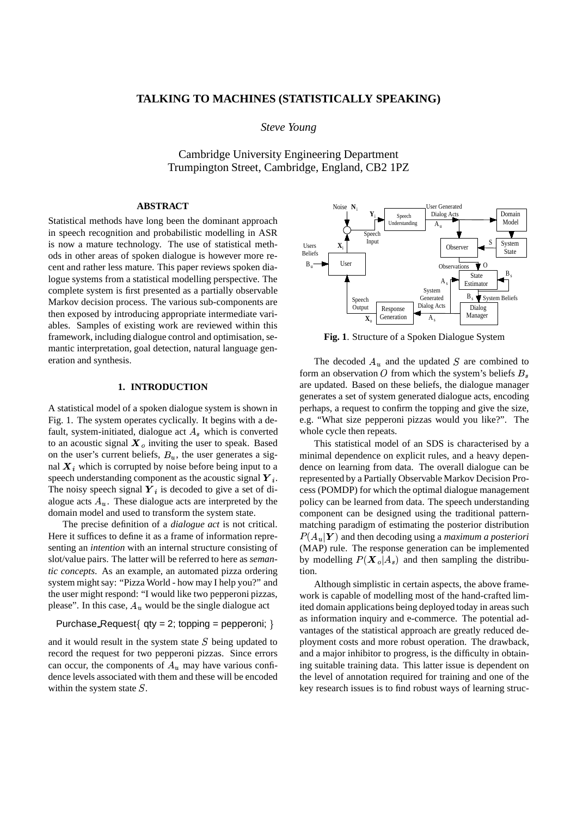## **TALKING TO MACHINES (STATISTICALLY SPEAKING)**

*Steve Young*

Cambridge University Engineering Department Trumpington Street, Cambridge, England, CB2 1PZ

### **ABSTRACT**

Statistical methods have long been the dominant approach in speech recognition and probabilistic modelling in ASR is now a mature technology. The use of statistical methods in other areas of spoken dialogue is however more recent and rather less mature. This paper reviews spoken dialogue systems from a statistical modelling perspective. The complete system is first presented as a partially observable Markov decision process. The various sub-components are then exposed by introducing appropriate intermediate variables. Samples of existing work are reviewed within this framework, including dialogue control and optimisation, semantic interpretation, goal detection, natural language generation and synthesis.

## **1. INTRODUCTION**

A statistical model of a spoken dialogue system is shown in Fig. 1. The system operates cyclically. It begins with a default, system-initiated, dialogue act  $A_s$  which is converted to an acoustic signal  $\mathbf{X}_o$  inviting the user to speak. Based on the user's current beliefs,  $B_u$ , the user generates a signal  $\boldsymbol{X}_i$  which is corrupted by noise before being input to a speech understanding component as the acoustic signal  $Y_i$ . The noisy speech signal  $Y_i$  is decoded to give a set of dialogue acts  $A_u$ . These dialogue acts are interpreted by the domain model and used to transform the system state.

The precise definition of a *dialogue act* is not critical. Here it suffices to define it as a frame of information representing an *intention* with an internal structure consisting of slot/value pairs. The latter will be referred to here as *semantic concepts*. As an example, an automated pizza ordering system might say: "Pizza World - how may I help you?" and the user might respond: "I would like two pepperoni pizzas, please". In this case,  $A_u$  would be the single dialogue act

# Purchase\_Request{  $qty = 2$ ; topping = pepperoni; }

and it would result in the system state  $S$  being updated to record the request for two pepperoni pizzas. Since errors can occur, the components of  $A_u$  may have various confidence levels associated with them and these will be encoded within the system state  $S$ .



**Fig. 1**. Structure of a Spoken Dialogue System

The decoded  $A_u$  and the updated S are combined to form an observation O from which the system's beliefs  $B_s$ are updated. Based on these beliefs, the dialogue manager generates a set of system generated dialogue acts, encoding perhaps, a request to confirm the topping and give the size, e.g. "What size pepperoni pizzas would you like?". The whole cycle then repeats.

This statistical model of an SDS is characterised by a minimal dependence on explicit rules, and a heavy dependence on learning from data. The overall dialogue can be represented by a Partially Observable Markov Decision Process (POMDP) for which the optimal dialogue management policy can be learned from data. The speech understanding component can be designed using the traditional patternmatching paradigm of estimating the posterior distribution  $P(A_u|Y)$  and then decoding using a *maximum a posteriori* (MAP) rule. The response generation can be implemented by modelling  $P(\mathbf{X}_o|A_s)$  and then sampling the distribution.

Although simplistic in certain aspects, the above framework is capable of modelling most of the hand-crafted limited domain applications being deployed today in areas such as information inquiry and e-commerce. The potential advantages of the statistical approach are greatly reduced deployment costs and more robust operation. The drawback, and a major inhibitor to progress, is the difficulty in obtaining suitable training data. This latter issue is dependent on the level of annotation required for training and one of the key research issues is to find robust ways of learning struc-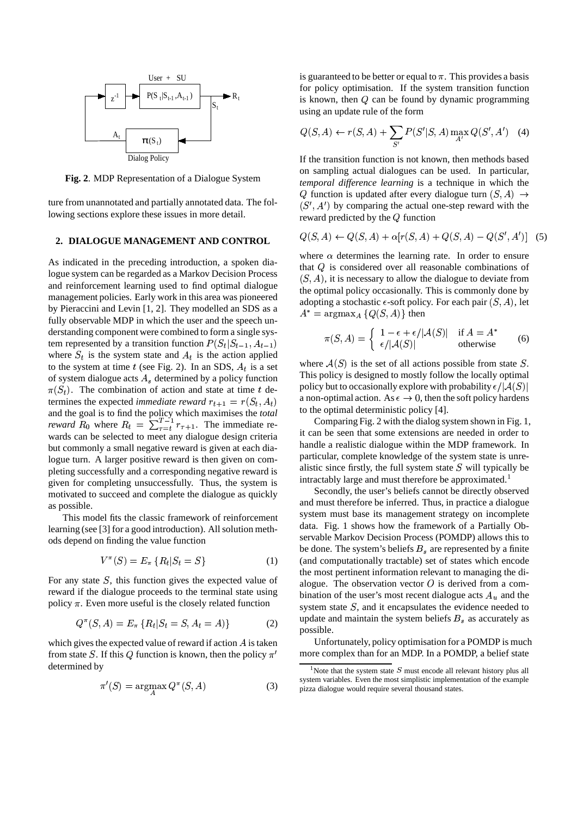

**Fig. 2**. MDP Representation of a Dialogue System

ture from unannotated and partially annotated data. The following sections explore these issues in more detail.

#### **2. DIALOGUE MANAGEMENT AND CONTROL**

As indicated in the preceding introduction, a spoken dialogue system can be regarded as a Markov Decision Process and reinforcement learning used to find optimal dialogue management policies. Early work in this area was pioneered by Pieraccini and Levin [1, 2]. They modelled an SDS as a fully observable MDP in which the user and the speech understanding component were combined to form a single system represented by a transition function  $P(S_t|S_{t-1}, A_{t-1})$ where  $S_t$  is the system state and  $A_t$  is the action applied to the system at time t (see Fig. 2). In an SDS,  $A_t$  is a set  $\overline{a}$ of system dialogue acts  $A_s$  determined by a policy function  $\pi(S_t)$ . The combination of action and state at time t determines the expected *immediate reward* %'&(\*) % ! and the goal is to find the policy which maximises the *total reward*  $R_0$  where  $R_t = \sum_{\tau=t}^{T-1} r_{\tau+1}$ . The immediate rewards can be selected to meet any dialogue design criteria but commonly a small negative reward is given at each dialogue turn. A larger positive reward is then given on completing successfully and a corresponding negative reward is given for completing unsuccessfully. Thus, the system is motivated to succeed and complete the dialogue as quickly as possible.

This model fits the classic framework of reinforcement learning (see [3] for a good introduction). All solution methods depend on finding the value function

$$
V^{\pi}(S) = E_{\pi} \{ R_t | S_t = S \}
$$
 (1)

For any state  $S$ , this function gives the expected value of reward if the dialogue proceeds to the terminal state using policy  $\pi$ . Even more useful is the closely related function

$$
Q^{\pi}(S, A) = E_{\pi} \{ R_t | S_t = S, A_t = A) \}
$$
 (2)

which gives the expected value of reward if action  $A$  is taken from state S. If this Q function is known, then the policy  $\pi'$ determined by

$$
\pi'(S) = \operatorname{argmax}_{A} Q^{\pi}(S, A)
$$
 (3)

is guaranteed to be better or equal to  $\pi$ . This provides a basis for policy optimisation. If the system transition function is known, then  $Q$  can be found by dynamic programming using an update rule of the form

$$
Q(S, A) \leftarrow r(S, A) + \sum_{S'} P(S'|S, A) \max_{A'} Q(S', A') \quad (4)
$$

If the transition function is not known, then methods based on sampling actual dialogues can be used. In particular, *temporal difference learning* is a technique in which the Q function is updated after every dialogue turn  $(S, A) \rightarrow$  $(S', A')$  by comparing the actual one-step reward with the reward predicted by the  $Q$  function

$$
Q(S, A) \leftarrow Q(S, A) + \alpha [r(S, A) + Q(S, A) - Q(S', A')]
$$
 (5)

where  $\alpha$  determines the learning rate. In order to ensure that  $Q$  is considered over all reasonable combinations of  $(S, A)$ , it is necessary to allow the dialogue to deviate from the optimal policy occasionally. This is commonly done by adopting a stochastic  $\epsilon$ -soft policy. For each pair  $(S, A)$ , let  $A^* = \text{argmax}_A \{Q(S, A)\}\$ then

$$
\pi(S, A) = \begin{cases}\n1 - \epsilon + \epsilon/|\mathcal{A}(S)| & \text{if } A = A^* \\
\epsilon/|\mathcal{A}(S)| & \text{otherwise}\n\end{cases}
$$
\n(6)

where  $A(S)$  is the set of all actions possible from state S. This policy is designed to mostly follow the locally optimal policy but to occasionally explore with probability  $\epsilon/|{\cal A}(S)|$ a non-optimal action. As  $\epsilon \to 0$ , then the soft policy hardens to the optimal deterministic policy [4].

Comparing Fig. 2 with the dialog system shown in Fig. 1, it can be seen that some extensions are needed in order to handle a realistic dialogue within the MDP framework. In particular, complete knowledge of the system state is unrealistic since firstly, the full system state  $S$  will typically be intractably large and must therefore be approximated.<sup>1</sup>

Secondly, the user's beliefs cannot be directly observed and must therefore be inferred. Thus, in practice a dialogue system must base its management strategy on incomplete data. Fig. 1 shows how the framework of a Partially Observable Markov Decision Process (POMDP) allows this to be done. The system's beliefs  $B_s$  are represented by a finite (and computationally tractable) set of states which encode the most pertinent information relevant to managing the dialogue. The observation vector  $O$  is derived from a combination of the user's most recent dialogue acts  $A_u$  and the system state  $S$ , and it encapsulates the evidence needed to update and maintain the system beliefs  $B_s$  as accurately as possible.

Unfortunately, policy optimisation for a POMDP is much more complex than for an MDP. In a POMDP, a belief state

<sup>&</sup>lt;sup>1</sup>Note that the system state S must encode all relevant history plus all system variables. Even the most simplistic implementation of the example pizza dialogue would require several thousand states.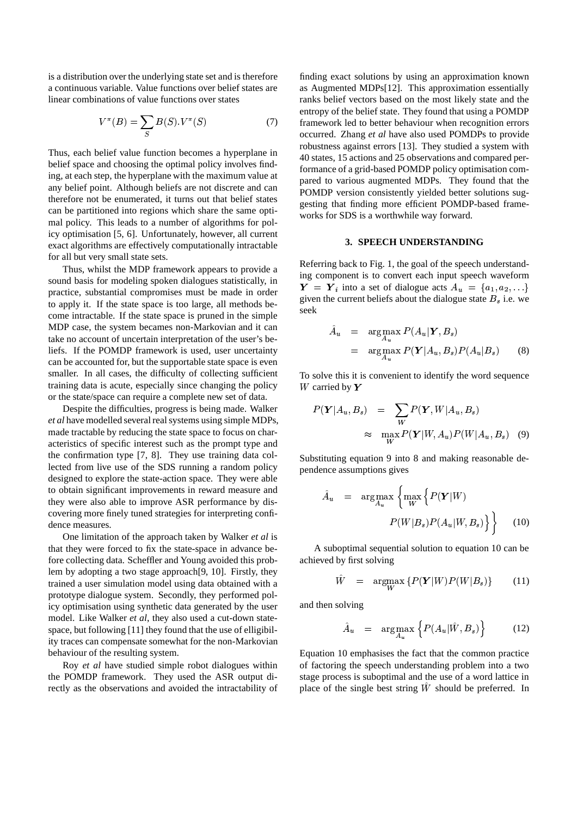is a distribution over the underlying state set and is therefore a continuous variable. Value functions over belief states are linear combinations of value functions over states

$$
V^{\pi}(B) = \sum_{S} B(S) . V^{\pi}(S) \tag{7}
$$

Thus, each belief value function becomes a hyperplane in belief space and choosing the optimal policy involves finding, at each step, the hyperplane with the maximum value at any belief point. Although beliefs are not discrete and can therefore not be enumerated, it turns out that belief states can be partitioned into regions which share the same optimal policy. This leads to a number of algorithms for policy optimisation [5, 6]. Unfortunately, however, all current exact algorithms are effectively computationally intractable for all but very small state sets.

Thus, whilst the MDP framework appears to provide a sound basis for modeling spoken dialogues statistically, in practice, substantial compromises must be made in order to apply it. If the state space is too large, all methods become intractable. If the state space is pruned in the simple MDP case, the system becames non-Markovian and it can take no account of uncertain interpretation of the user's beliefs. If the POMDP framework is used, user uncertainty can be accounted for, but the supportable state space is even smaller. In all cases, the difficulty of collecting sufficient training data is acute, especially since changing the policy or the state/space can require a complete new set of data.

Despite the difficulties, progress is being made. Walker *et al* have modelled several real systems using simple MDPs, made tractable by reducing the state space to focus on characteristics of specific interest such as the prompt type and the confirmation type [7, 8]. They use training data collected from live use of the SDS running a random policy designed to explore the state-action space. They were able to obtain significant improvements in reward measure and they were also able to improve ASR performance by discovering more finely tuned strategies for interpreting confidence measures.

One limitation of the approach taken by Walker *et al* is that they were forced to fix the state-space in advance before collecting data. Scheffler and Young avoided this problem by adopting a two stage approach[9, 10]. Firstly, they trained a user simulation model using data obtained with a prototype dialogue system. Secondly, they performed policy optimisation using synthetic data generated by the user model. Like Walker *et al*, they also used a cut-down statespace, but following [11] they found that the use of elligibility traces can compensate somewhat for the non-Markovian behaviour of the resulting system.

Roy *et al* have studied simple robot dialogues within the POMDP framework. They used the ASR output directly as the observations and avoided the intractability of

finding exact solutions by using an approximation known as Augmented MDPs[12]. This approximation essentially ranks belief vectors based on the most likely state and the entropy of the belief state. They found that using a POMDP framework led to better behaviour when recognition errors occurred. Zhang *et al* have also used POMDPs to provide robustness against errors [13]. They studied a system with 40 states, 15 actions and 25 observations and compared performance of a grid-based POMDP policy optimisation compared to various augmented MDPs. They found that the POMDP version consistently yielded better solutions suggesting that finding more efficient POMDP-based frameworks for SDS is a worthwhile way forward.

#### **3. SPEECH UNDERSTANDING**

Referring back to Fig. 1, the goal of the speech understanding component is to convert each input speech waveform  $\boldsymbol{Y} = \boldsymbol{Y}_i$  into a set of dialogue acts  $A_u = \{a_1, a_2, \ldots\}$ given the current beliefs about the dialogue state  $B_s$  i.e. we seek

$$
\hat{A}_u = \underset{A_u}{\arg \max} P(A_u | \mathbf{Y}, B_s)
$$
\n
$$
= \underset{A_u}{\arg \max} P(\mathbf{Y} | A_u, B_s) P(A_u | B_s) \qquad (8)
$$

To solve this it is convenient to identify the word sequence  $W$  carried by  $Y$ 

$$
P(\mathbf{Y}|A_u, B_s) = \sum_W P(\mathbf{Y}, W|A_u, B_s)
$$
  

$$
\approx \max_W P(\mathbf{Y}|W, A_u) P(W|A_u, B_s) \quad (9)
$$

Substituting equation 9 into 8 and making reasonable dependence assumptions gives

$$
\hat{A}_u = \arg \max_{A_u} \left\{ \max_W \left\{ P(\boldsymbol{Y}|W) - P(W|B_s)P(A_u|W,B_s) \right\} \right\} \tag{10}
$$

A suboptimal sequential solution to equation 10 can be achieved by first solving

$$
\hat{W} = \underset{W}{\arg\max} \left\{ P(\boldsymbol{Y}|W)P(W|B_s) \right\} \tag{11}
$$

and then solving

$$
\hat{A}_u = \arg \max_{A_u} \left\{ P(A_u | \hat{W}, B_s) \right\} \tag{12}
$$

Equation 10 emphasises the fact that the common practice of factoring the speech understanding problem into a two stage process is suboptimal and the use of a word lattice in place of the single best string  $\hat{W}$  should be preferred. In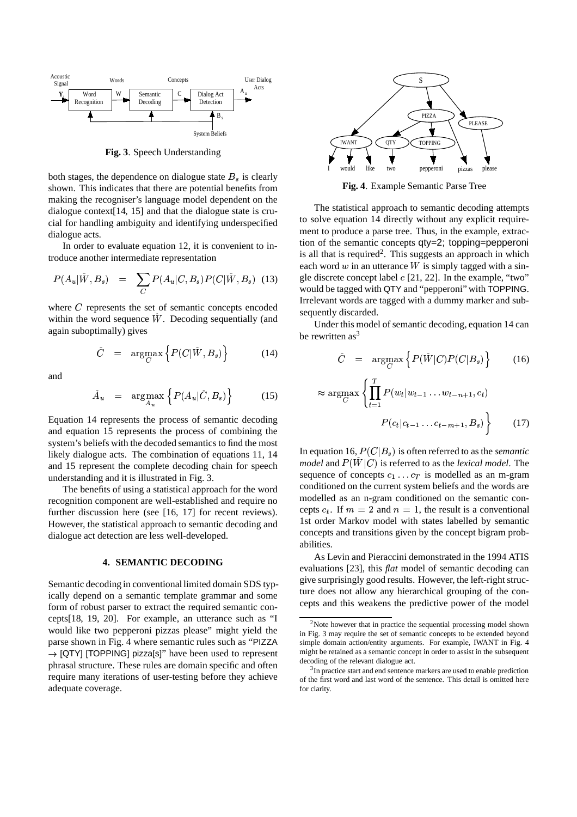

**Fig. 3**. Speech Understanding

both stages, the dependence on dialogue state  $B_s$  is clearly shown. This indicates that there are potential benefits from making the recogniser's language model dependent on the dialogue context[14, 15] and that the dialogue state is crucial for handling ambiguity and identifying underspecified dialogue acts.

In order to evaluate equation 12, it is convenient to introduce another intermediate representation

$$
P(A_u | \hat{W}, B_s) = \sum_C P(A_u | C, B_s) P(C | \hat{W}, B_s) \quad (13)
$$

where  $C$  represents the set of semantic concepts encoded within the word sequence  $W$ . Decoding sequentially (and again suboptimally) gives under the second control of the second control of the second control of the second control of the second control of the second control of the second control of the second control of the second control of the second control

$$
\hat{C} = \underset{C}{\arg\max} \left\{ P(C|\hat{W}, B_s) \right\} \tag{14}
$$

and

$$
\hat{A}_u = \arg \max_{A_u} \left\{ P(A_u | \hat{C}, B_s) \right\} \tag{15}
$$

Equation 14 represents the process of semantic decoding and equation 15 represents the process of combining the system's beliefs with the decoded semantics to find the most likely dialogue acts. The combination of equations 11, 14 and 15 represent the complete decoding chain for speech understanding and it is illustrated in Fig. 3.

The benefits of using a statistical approach for the word recognition component are well-established and require no further discussion here (see [16, 17] for recent reviews). However, the statistical approach to semantic decoding and dialogue act detection are less well-developed.

#### **4. SEMANTIC DECODING**

Semantic decoding in conventional limited domain SDS typically depend on a semantic template grammar and some form of robust parser to extract the required semantic concepts[18, 19, 20]. For example, an utterance such as "I would like two pepperoni pizzas please" might yield the parse shown in Fig. 4 where semantic rules such as "PIZZA  $\rightarrow$  [QTY] [TOPPING] pizza[s]" have been used to represent phrasal structure. These rules are domain specific and often require many iterations of user-testing before they achieve adequate coverage.



**Fig. 4**. Example Semantic Parse Tree

 $\hat{W}, B_s$  (13) gle discrete concept label c [21, 22]. In the example, "two" The statistical approach to semantic decoding attempts to solve equation 14 directly without any explicit requirement to produce a parse tree. Thus, in the example, extraction of the semantic concepts qty=2; topping=pepperoni is all that is required<sup>2</sup>. This suggests an approach in which each word  $w$  in an utterance  $W$  is simply tagged with a sinwould be tagged with QTY and "pepperoni" with TOPPING. Irrelevant words are tagged with a dummy marker and subsequently discarded.

> Under this model of semantic decoding, equation 14 can be rewritten as  $3^3$

$$
\hat{C} = \underset{C}{\text{argmax}} \left\{ P(\hat{W}|C)P(C|B_s) \right\} \tag{16}
$$

$$
\approx \operatorname*{argmax}_{C} \left\{ \prod_{t=1}^{T} P(w_t | w_{t-1} \dots w_{t-n+1}, c_t) \right\}
$$

$$
P(c_t | c_{t-1} \dots c_{t-m+1}, B_s) \right\}
$$
(17)

In equation 16,  $P(C|B<sub>s</sub>)$  is often referred to as the *semantic model* and  $P(W|C)$  is referred to as the *lexical model*. The sequence of concepts  $c_1 \dots c_T$  is modelled as an m-gram conditioned on the current system beliefs and the words are modelled as an n-gram conditioned on the semantic concepts  $c_t$ . If  $m = 2$  and  $n = 1$ , the result is a conventional 1st order Markov model with states labelled by semantic concepts and transitions given by the concept bigram probabilities.

As Levin and Pieraccini demonstrated in the 1994 ATIS evaluations [23], this *flat* model of semantic decoding can give surprisingly good results. However, the left-right structure does not allow any hierarchical grouping of the concepts and this weakens the predictive power of the model

 $2$ Note however that in practice the sequential processing model shown in Fig. 3 may require the set of semantic concepts to be extended beyond simple domain action/entity arguments. For example, IWANT in Fig. 4 might be retained as a semantic concept in order to assist in the subsequent decoding of the relevant dialogue act.

<sup>&</sup>lt;sup>3</sup>In practice start and end sentence markers are used to enable prediction of the first word and last word of the sentence. This detail is omitted here for clarity.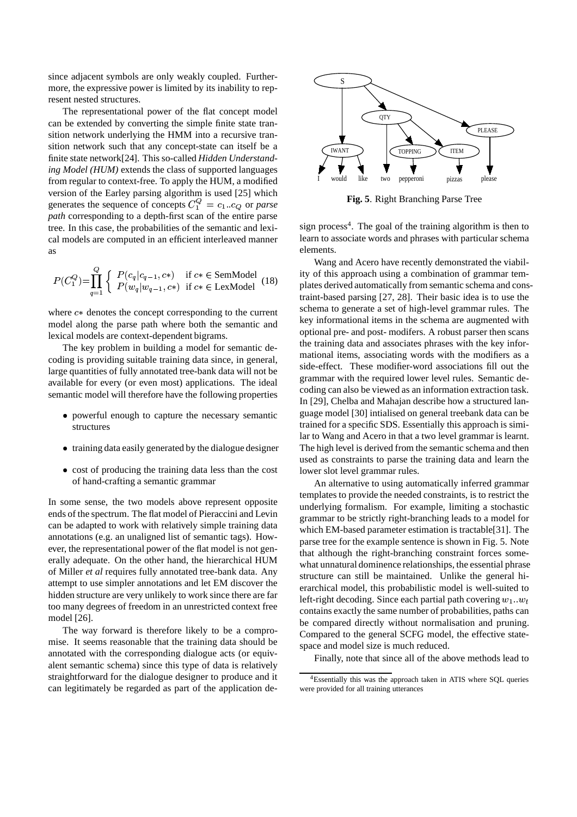since adjacent symbols are only weakly coupled. Furthermore, the expressive power is limited by its inability to represent nested structures.

The representational power of the flat concept model can be extended by converting the simple finite state transition network underlying the HMM into a recursive transition network such that any concept-state can itself be a finite state network[24]. This so-called *Hidden Understanding Model (HUM)* extends the class of supported languages from regular to context-free. To apply the HUM, a modified version of the Earley parsing algorithm is used [25] which generates the sequence of concepts  $C_1^{\mathcal{Q}} = c_1 \cdot c_Q$  or *parse path* corresponding to a depth-first scan of the entire parse tree. In this case, the probabilities of the semantic and lexical models are computed in an efficient interleaved manner as

$$
P(C_1^Q) = \prod_{q=1}^Q \left\{ \begin{array}{ll} P(c_q|c_{q-1}, c*) & \text{if } c \ast \in \text{SemModel} \\ P(w_q|w_{q-1}, c*) & \text{if } c \ast \in \text{LexModel} \end{array} \right. \tag{18}
$$

where  $c*$  denotes the concept corresponding to the current model along the parse path where both the semantic and lexical models are context-dependent bigrams.

The key problem in building a model for semantic decoding is providing suitable training data since, in general, large quantities of fully annotated tree-bank data will not be available for every (or even most) applications. The ideal semantic model will therefore have the following properties

- powerful enough to capture the necessary semantic structures
- training data easily generated by the dialogue designer
- cost of producing the training data less than the cost of hand-crafting a semantic grammar

In some sense, the two models above represent opposite ends of the spectrum. The flat model of Pieraccini and Levin can be adapted to work with relatively simple training data annotations (e.g. an unaligned list of semantic tags). However, the representational power of the flat model is not generally adequate. On the other hand, the hierarchical HUM of Miller *et al* requires fully annotated tree-bank data. Any attempt to use simpler annotations and let EM discover the hidden structure are very unlikely to work since there are far too many degrees of freedom in an unrestricted context free model [26].

The way forward is therefore likely to be a compromise. It seems reasonable that the training data should be annotated with the corresponding dialogue acts (or equivalent semantic schema) since this type of data is relatively straightforward for the dialogue designer to produce and it can legitimately be regarded as part of the application de-



**Fig. 5**. Right Branching Parse Tree

sign process<sup>4</sup>. The goal of the training algorithm is then to learn to associate words and phrases with particular schema elements.

Wang and Acero have recently demonstrated the viability of this approach using a combination of grammar templates derived automatically from semantic schema and constraint-based parsing [27, 28]. Their basic idea is to use the schema to generate a set of high-level grammar rules. The key informational items in the schema are augmented with optional pre- and post- modifers. A robust parser then scans the training data and associates phrases with the key informational items, associating words with the modifiers as a side-effect. These modifier-word associations fill out the grammar with the required lower level rules. Semantic decoding can also be viewed as an information extraction task. In [29], Chelba and Mahajan describe how a structured language model [30] intialised on general treebank data can be trained for a specific SDS. Essentially this approach is similar to Wang and Acero in that a two level grammar is learnt. The high level is derived from the semantic schema and then used as constraints to parse the training data and learn the lower slot level grammar rules.

An alternative to using automatically inferred grammar templates to provide the needed constraints, is to restrict the underlying formalism. For example, limiting a stochastic grammar to be strictly right-branching leads to a model for which EM-based parameter estimation is tractable[31]. The parse tree for the example sentence is shown in Fig. 5. Note that although the right-branching constraint forces somewhat unnatural dominence relationships, the essential phrase structure can still be maintained. Unlike the general hierarchical model, this probabilistic model is well-suited to left-right decoding. Since each partial path covering  $w_1...w_t$ contains exactly the same number of probabilities, paths can be compared directly without normalisation and pruning. Compared to the general SCFG model, the effective statespace and model size is much reduced.

Finally, note that since all of the above methods lead to

<sup>4</sup>Essentially this was the approach taken in ATIS where SQL queries were provided for all training utterances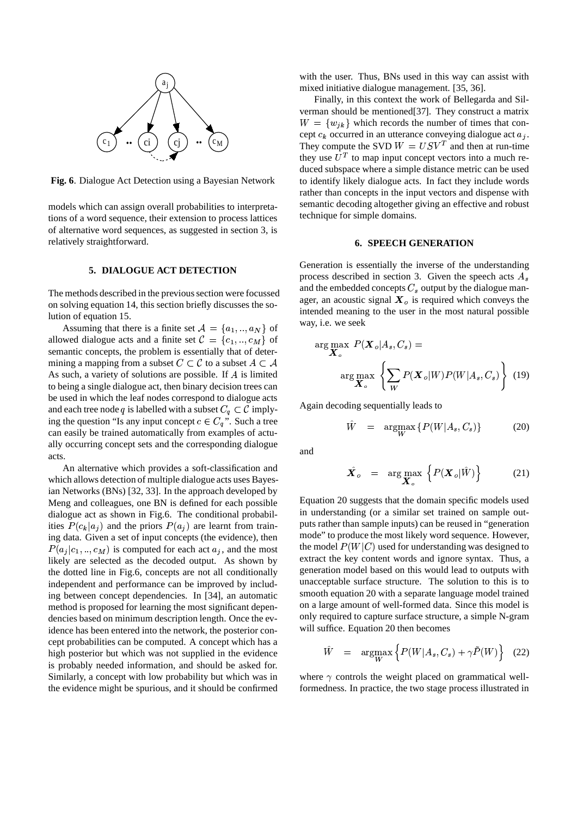

**Fig. 6**. Dialogue Act Detection using a Bayesian Network

models which can assign overall probabilities to interpretations of a word sequence, their extension to process lattices of alternative word sequences, as suggested in section 3, is relatively straightforward.

# **5. DIALOGUE ACT DETECTION**

The methods described in the previous section were focussed on solving equation 14, this section briefly discusses the solution of equation 15.

Assuming that there is a finite set  $A = \{a_1, \ldots, a_N\}$  of allowed dialogue acts and a finite set  $\mathcal{C} = \{c_1, ..., c_M\}$  of semantic concepts, the problem is essentially that of determining a mapping from a subset  $C \subset \mathcal{C}$  to a subset  $A \subset \mathcal{A}$ As such, a variety of solutions are possible. If  $A$  is limited to being a single dialogue act, then binary decision trees can be used in which the leaf nodes correspond to dialogue acts and each tree node q is labelled with a subset  $C_q \subset \mathcal{C}$  implying the question "Is any input concept  $c \in C_q$ ". Such a tree can easily be trained automatically from examples of actually occurring concept sets and the corresponding dialogue acts.

An alternative which provides a soft-classification and which allows detection of multiple dialogue acts uses Bayesian Networks (BNs) [32, 33]. In the approach developed by Meng and colleagues, one BN is defined for each possible dialogue act as shown in Fig.6. The conditional probabilities  $P(c_k|a_i)$  and the priors  $P(a_i)$  are learnt from training data. Given a set of input concepts (the evidence), then  $P(a_i|c_1, \ldots, c_M)$  is computed for each act  $a_i$ , and the most likely are selected as the decoded output. As shown by the dotted line in Fig.6, concepts are not all conditionally independent and performance can be improved by including between concept dependencies. In [34], an automatic method is proposed for learning the most significant dependencies based on minimum description length. Once the evidence has been entered into the network, the posterior concept probabilities can be computed. A concept which has a high posterior but which was not supplied in the evidence is probably needed information, and should be asked for. Similarly, a concept with low probability but which was in the evidence might be spurious, and it should be confirmed with the user. Thus, BNs used in this way can assist with mixed initiative dialogue management. [35, 36].

Finally, in this context the work of Bellegarda and Silverman should be mentioned[37]. They construct a matrix  $W = \{w_{ik}\}\$  which records the number of times that concept  $c_k$  occurred in an utterance conveying dialogue act  $a_i$ . They compute the SVD  $W = USV<sup>T</sup>$  and then at run-time they use  $U<sup>T</sup>$  to map input concept vectors into a much reduced subspace where a simple distance metric can be used to identify likely dialogue acts. In fact they include words rather than concepts in the input vectors and dispense with semantic decoding altogether giving an effective and robust technique for simple domains.

### **6. SPEECH GENERATION**

Generation is essentially the inverse of the understanding process described in section 3. Given the speech acts  $A_s$ and the embedded concepts  $C_s$  output by the dialogue manager, an acoustic signal  $\boldsymbol{X}_{o}$  is required which conveys the intended meaning to the user in the most natural possible way, i.e. we seek

$$
\arg\max_{\mathbf{X}_s} P(\mathbf{X}_o|A_s, C_s) =
$$

$$
\arg\max_{\mathbf{X}_s} \left\{ \sum_{W} P(\mathbf{X}_o|W) P(W|A_s, C_s) \right\} (19)
$$

Again decoding sequentially leads to

$$
\hat{W} = \underset{W}{\text{argmax}} \left\{ P(W|A_s, C_s) \right\} \tag{20}
$$

and

$$
\hat{\boldsymbol{X}}_{o} = \arg \max_{\boldsymbol{X}_{o}} \left\{ P(\boldsymbol{X}_{o} | \hat{W}) \right\} \tag{21}
$$

Equation 20 suggests that the domain specific models used in understanding (or a similar set trained on sample outputs rather than sample inputs) can be reused in "generation mode" to produce the most likely word sequence. However, the model  $P(W|C)$  used for understanding was designed to extract the key content words and ignore syntax. Thus, a generation model based on this would lead to outputs with unacceptable surface structure. The solution to this is to smooth equation 20 with a separate language model trained on a large amount of well-formed data. Since this model is only required to capture surface structure, a simple N-gram will suffice. Equation 20 then becomes

$$
\hat{W} = \underset{W}{\text{argmax}} \left\{ P(W|A_s, C_s) + \gamma \tilde{P}(W) \right\} \quad (22)
$$

where  $\gamma$  controls the weight placed on grammatical wellformedness. In practice, the two stage process illustrated in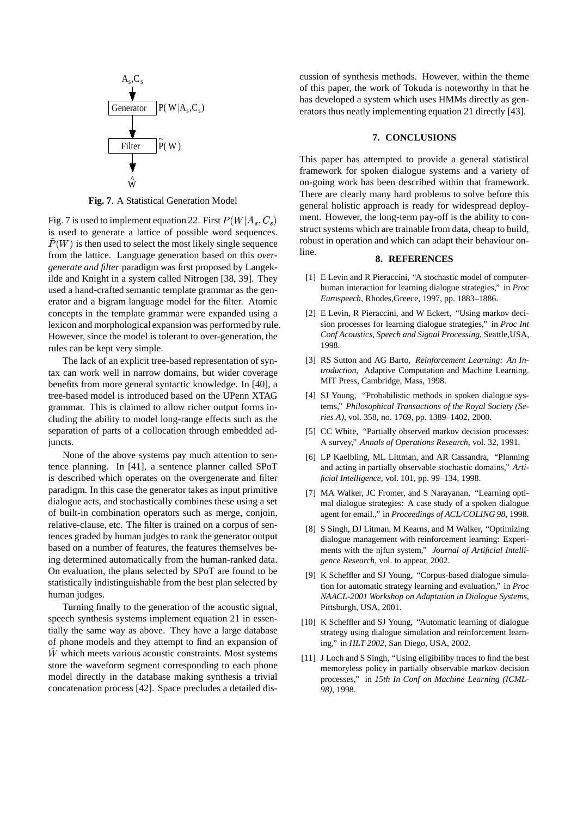

**Fig. 7**. A Statistical Generation Model

Fig. 7 is used to implement equation 22. First  $P(W|A_s, C_s)$ is used to generate a lattice of possible word sequences.  $P(W)$  is then used to select the most likely single sequence from the lattice. Language generation based on this *overgenerate and filter* paradigm was first proposed by Langekilde and Knight in a system called Nitrogen [38, 39]. They used a hand-crafted semantic template grammar as the generator and a bigram language model for the filter. Atomic concepts in the template grammar were expanded using a lexicon and morphological expansion was performed by rule. However, since the model is tolerant to over-generation, the rules can be kept very simple.

The lack of an explicit tree-based representation of syntax can work well in narrow domains, but wider coverage benefits from more general syntactic knowledge. In [40], a tree-based model is introduced based on the UPenn XTAG grammar. This is claimed to allow richer output forms including the ability to model long-range effects such as the separation of parts of a collocation through embedded adjuncts.

None of the above systems pay much attention to sentence planning. In [41], a sentence planner called SPoT is described which operates on the overgenerate and filter paradigm. In this case the generator takes as input primitive dialogue acts, and stochastically combines these using a set of built-in combination operators such as merge, conjoin, relative-clause, etc. The filter is trained on a corpus of sentences graded by human judges to rank the generator output based on a number of features, the features themselves being determined automatically from the human-ranked data. On evaluation, the plans selected by SPoT are found to be statistically indistinguishable from the best plan selected by human judges.

Turning finally to the generation of the acoustic signal, speech synthesis systems implement equation 21 in essentially the same way as above. They have a large database of phone models and they attempt to find an expansion of  $\hat{W}$  which meets various acoustic constraints. Most systems store the waveform segment corresponding to each phone model directly in the database making synthesis a trivial concatenation process [42]. Space precludes a detailed discussion of synthesis methods. However, within the theme of this paper, the work of Tokuda is noteworthy in that he has developed a system which uses HMMs directly as generators thus neatly implementing equation 21 directly [43].

#### **7. CONCLUSIONS**

This paper has attempted to provide a general statistical framework for spoken dialogue systems and a variety of on-going work has been described within that framework. There are clearly many hard problems to solve before this general holistic approach is ready for widespread deployment. However, the long-term pay-off is the ability to construct systems which are trainable from data, cheap to build, robust in operation and which can adapt their behaviour online.

### **8. REFERENCES**

- [1] E Levin and R Pieraccini, "A stochastic model of computerhuman interaction for learning dialogue strategies," in *Proc Eurospeech*, Rhodes,Greece, 1997, pp. 1883–1886.
- [2] E Levin, R Pieraccini, and W Eckert, "Using markov decision processes for learning dialogue strategies," in *Proc Int Conf Acoustics, Speech and Signal Processing*, Seattle,USA, 1998.
- [3] RS Sutton and AG Barto, *Reinforcement Learning: An Introduction*, Adaptive Computation and Machine Learning. MIT Press, Cambridge, Mass, 1998.
- [4] SJ Young, "Probabilistic methods in spoken dialogue systems," *Philosophical Transactions of the Royal Society (Series A)*, vol. 358, no. 1769, pp. 1389–1402, 2000.
- [5] CC White, "Partially observed markov decision processes: A survey," *Annals of Operations Research*, vol. 32, 1991.
- [6] LP Kaelbling, ML Littman, and AR Cassandra, "Planning and acting in partially observable stochastic domains," *Artificial Intelligence*, vol. 101, pp. 99–134, 1998.
- [7] MA Walker, JC Fromer, and S Narayanan, "Learning optimal dialogue strategies: A case study of a spoken dialogue agent for email.," in *Proceedings of ACL/COLING 98*, 1998.
- [8] S Singh, DJ Litman, M Kearns, and M Walker, "Optimizing dialogue management with reinforcement learning: Experiments with the njfun system," *Journal of Artificial Intelligence Research*, vol. to appear, 2002.
- [9] K Scheffler and SJ Young, "Corpus-based dialogue simulation for automatic strategy learning and evaluation," in *Proc NAACL-2001 Workshop on Adaptation in Dialogue Systems*, Pittsburgh, USA, 2001.
- [10] K Scheffler and SJ Young, "Automatic learning of dialogue strategy using dialogue simulation and reinforcement learning," in *HLT 2002*, San Diego, USA, 2002.
- [11] J Loch and S Singh, "Using eligibiliby traces to find the best memoryless policy in partially observable markov decision processes," in *15th In Conf on Machine Learning (ICML-98)*, 1998.